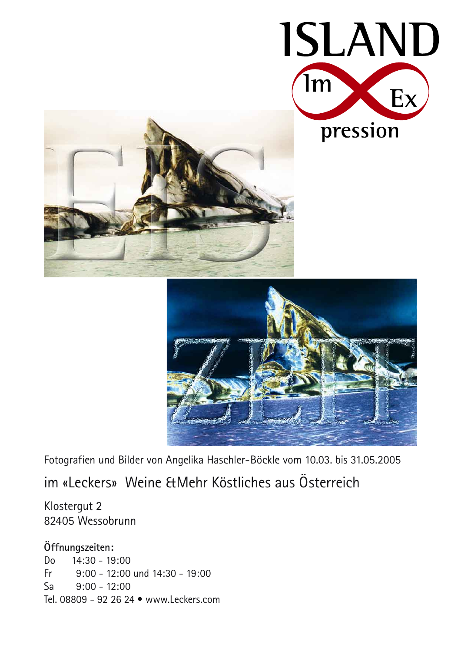





Fotografien und Bilder von Angelika Haschler-Böckle vom 10.03. bis 31.05.2005

im «Leckers» Weine & Mehr Köstliches aus Österreich

Klostergut 2 82405 Wessobrunn

#### Öffnungszeiten:

D<sub>o</sub>  $14:30 - 19:00$ Fr  $9:00 - 12:00$  und  $14:30 - 19:00$ Sa  $9:00 - 12:00$ Tel. 08809 - 92 26 24 · www.Leckers.com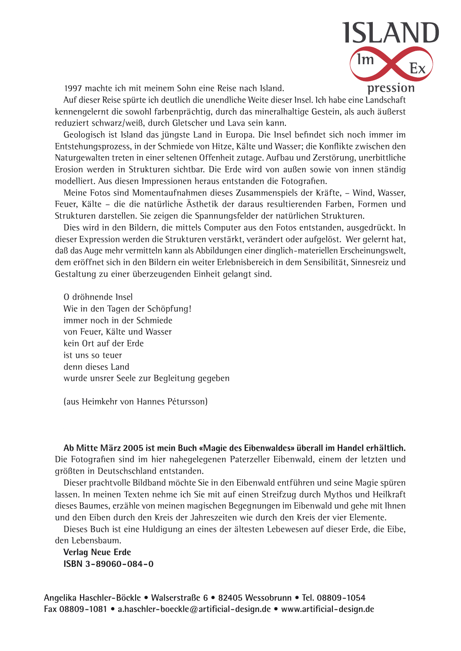

1997 machte ich mit meinem Sohn eine Reise nach Island.

Auf dieser Reise spürte ich deutlich die unendliche Weite dieser Insel. Ich habe eine Landschaft kennengelernt die sowohl farbenprächtig, durch das mineralhaltige Gestein, als auch äußerst reduziert schwarz/weiß, durch Gletscher und Lava sein kann.

Geologisch ist Island das jüngste Land in Europa. Die Insel befindet sich noch immer im Entstehungsprozess, in der Schmiede von Hitze, Kälte und Wasser; die Konflikte zwischen den Naturgewalten treten in einer seltenen Offenheit zutage. Aufbau und Zerstörung, unerbittliche Erosion werden in Strukturen sichtbar. Die Erde wird von außen sowie von innen ständig modelliert. Aus diesen Impressionen heraus entstanden die Fotografien.

Meine Fotos sind Momentaufnahmen dieses Zusammenspiels der Kräfte, – Wind, Wasser, Feuer, Kälte – die die natürliche Ästhetik der daraus resultierenden Farben, Formen und Strukturen darstellen. Sie zeigen die Spannungsfelder der natürlichen Strukturen.

Dies wird in den Bildern, die mittels Computer aus den Fotos entstanden, ausgedrückt. In dieser Expression werden die Strukturen verstärkt, verändert oder aufgelöst. Wer gelernt hat, daß das Auge mehr vermitteln kann als Abbildungen einer dinglich-materiellen Erscheinungswelt, dem eröffnet sich in den Bildern ein weiter Erlebnisbereich in dem Sensibilität, Sinnesreiz und Gestaltung zu einer überzeugenden Einheit gelangt sind.

O dröhnende Insel Wie in den Tagen der Schöpfung! immer noch in der Schmiede von Feuer, Kälte und Wasser kein Ort auf der Erde ist uns so teuer denn dieses Land wurde unsrer Seele zur Begleitung gegeben

(aus Heimkehr von Hannes Pétursson)

Ab Mitte März 2005 ist mein Buch «Magie des Eibenwaldes» überall im Handel erhältlich. Die Fotografien sind im hier nahegelegenen Paterzeller Eibenwald, einem der letzten und größten in Deutschschland entstanden.

Dieser prachtvolle Bildband möchte Sie in den Eibenwald entführen und seine Magie spüren lassen. In meinen Texten nehme ich Sie mit auf einen Streifzug durch Mythos und Heilkraft dieses Baumes, erzähle von meinen magischen Begegnungen im Eibenwald und gehe mit Ihnen und den Eiben durch den Kreis der Jahreszeiten wie durch den Kreis der vier Elemente.

Dieses Buch ist eine Huldigung an eines der ältesten Lebewesen auf dieser Erde, die Eibe, den Lebensbaum.

**Verlag Neue Erde** ISBN 3-89060-084-0

Angelika Haschler-Böckle • Walserstraße 6 • 82405 Wessobrunn • Tel. 08809-1054 Fax 08809-1081 • a.haschler-boeckle@artificial-design.de • www.artificial-design.de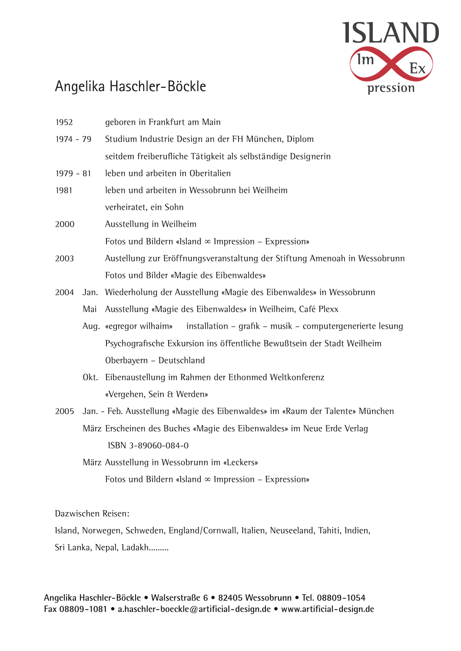

## Angelika Haschler-Böckle

| 1952        |      | geboren in Frankfurt am Main                                                        |
|-------------|------|-------------------------------------------------------------------------------------|
| 1974 - 79   |      | Studium Industrie Design an der FH München, Diplom                                  |
|             |      | seitdem freiberufliche Tätigkeit als selbständige Designerin                        |
| $1979 - 81$ |      | leben und arbeiten in Oberitalien                                                   |
| 1981        |      | leben und arbeiten in Wessobrunn bei Weilheim                                       |
|             |      | verheiratet, ein Sohn                                                               |
| 2000        |      | Ausstellung in Weilheim                                                             |
|             |      | Fotos und Bildern «Island $\infty$ Impression - Expression»                         |
| 2003        |      | Austellung zur Eröffnungsveranstaltung der Stiftung Amenoah in Wessobrunn           |
|             |      | Fotos und Bilder «Magie des Eibenwaldes»                                            |
| 2004        | Jan. | Wiederholung der Ausstellung «Magie des Eibenwaldes» in Wessobrunn                  |
|             | Mai  | Ausstellung «Magie des Eibenwaldes» in Weilheim, Café Plexx                         |
|             |      | installation - grafik - musik - computergenerierte lesung<br>Aug. «egregor wilhaim» |
|             |      | Psychografische Exkursion ins öffentliche Bewußtsein der Stadt Weilheim             |
|             |      | Oberbayern - Deutschland                                                            |
|             | Okt. | Eibenaustellung im Rahmen der Ethonmed Weltkonferenz                                |
|             |      | «Vergehen, Sein & Werden»                                                           |
| 2005        |      | Jan. - Feb. Ausstellung «Magie des Eibenwaldes» im «Raum der Talente» München       |
|             |      | März Erscheinen des Buches «Magie des Eibenwaldes» im Neue Erde Verlag              |
|             |      | ISBN 3-89060-084-0                                                                  |
|             |      | März Ausstellung in Wessobrunn im «Leckers»                                         |
|             |      | Fotos und Bildern «Island $\infty$ Impression – Expression»                         |
|             |      |                                                                                     |
|             |      |                                                                                     |

Dazwischen Reisen:

Island, Norwegen, Schweden, England/Cornwall, Italien, Neuseeland, Tahiti, Indien, Sri Lanka, Nepal, Ladakh.........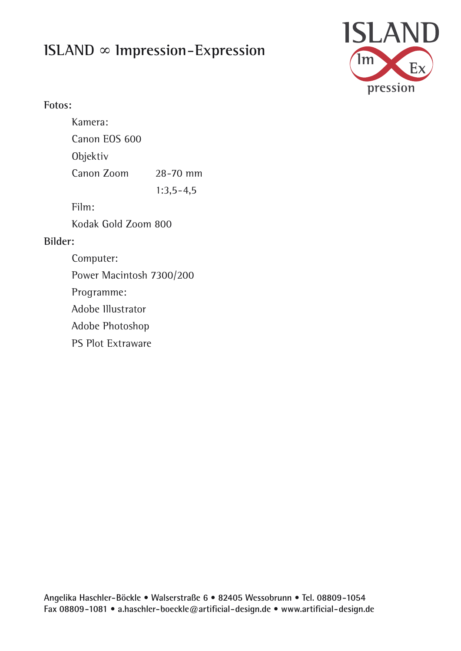# ISLAND  $\infty$  Impression-Expression



#### Fotos:

|         | Kamera:                  |             |  |  |
|---------|--------------------------|-------------|--|--|
|         | Canon EOS 600            |             |  |  |
|         | Objektiv                 |             |  |  |
|         | Canon Zoom               | 28-70 mm    |  |  |
|         |                          | $1:3,5-4,5$ |  |  |
|         | Film:                    |             |  |  |
|         | Kodak Gold Zoom 800      |             |  |  |
| Bilder: |                          |             |  |  |
|         | Computer:                |             |  |  |
|         | Power Macintosh 7300/200 |             |  |  |
|         | Programme:               |             |  |  |
|         | Adobe Illustrator        |             |  |  |
|         | Adobe Photoshop          |             |  |  |
|         | <b>PS Plot Extraware</b> |             |  |  |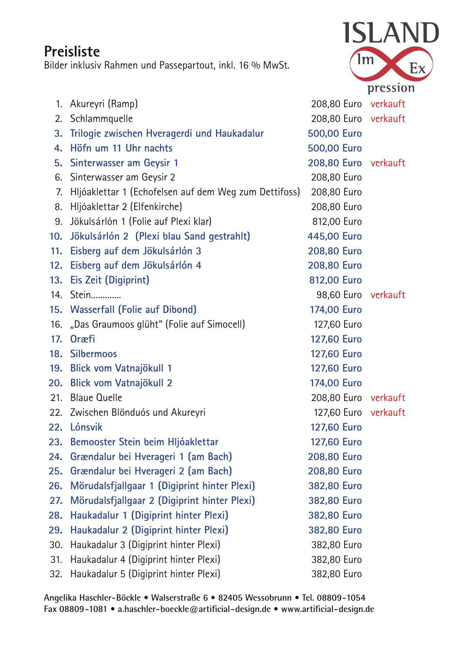### Preisliste

Bilder inklusiv Rahmen und Passepartout, inkl. 16 % MwSt.



| 1.  | Akureyri (Ramp)                                       | 208,80 Euro verkauft |  |
|-----|-------------------------------------------------------|----------------------|--|
|     | 2. Schlammquelle                                      | 208,80 Euro verkauft |  |
| 3.  | Trilogie zwischen Hveragerdi und Haukadalur           | 500,00 Euro          |  |
| 4.  | Höfn um 11 Uhr nachts                                 | 500,00 Euro          |  |
| 5.  | Sinterwasser am Geysir 1                              | 208,80 Euro verkauft |  |
| 6.  | Sinterwasser am Geysir 2                              | 208,80 Euro          |  |
| 7.  | Hljóaklettar 1 (Echofelsen auf dem Weg zum Dettifoss) | 208,80 Euro          |  |
|     | 8. Hljóaklettar 2 (Elfenkirche)                       | 208,80 Euro          |  |
| 9.  | Jökulsárlón 1 (Folie auf Plexi klar)                  | 812,00 Euro          |  |
| 10. | Jökulsárlón 2 (Plexi blau Sand gestrahlt)             | 445,00 Euro          |  |
| 11. | Eisberg auf dem Jökulsárlón 3                         | 208,80 Euro          |  |
| 12. | Eisberg auf dem Jökulsárlón 4                         | 208,80 Euro          |  |
| 13. | Eis Zeit (Digiprint)                                  | 812,00 Euro          |  |
|     | 14. Stein                                             | 98,60 Euro verkauft  |  |
|     | 15. Wasserfall (Folie auf Dibond)                     | 174,00 Euro          |  |
|     | 16. "Das Graumoos glüht" (Folie auf Simocell)         | 127,60 Euro          |  |
| 17. | <b>Or</b> æfi                                         | 127,60 Euro          |  |
|     | 18. Silbermoos                                        | <b>127,60 Euro</b>   |  |
| 19. | <b>Blick vom Vatnajökull 1</b>                        | 127,60 Euro          |  |
| 20. | Blick vom Vatnajökull 2                               | 174,00 Euro          |  |
| 21. | <b>Blaue Quelle</b>                                   | 208,80 Euro verkauft |  |
|     | 22. Zwischen Blönduós und Akureyri                    | 127,60 Euro verkauft |  |
|     | 22. Lónsvik                                           | 127,60 Euro          |  |
|     | 23. Bemooster Stein beim Hljóaklettar                 | <b>127,60 Euro</b>   |  |
| 24. | Grændalur bei Hverageri 1 (am Bach)                   | 208,80 Euro          |  |
| 25. | Grændalur bei Hverageri 2 (am Bach)                   | 208,80 Euro          |  |
| 26. | Mörudalsfjallgaar 1 (Digiprint hinter Plexi)          | 382,80 Euro          |  |
| 27. | Mörudalsfjallgaar 2 (Digiprint hinter Plexi)          | 382,80 Euro          |  |
| 28. | Haukadalur 1 (Digiprint hinter Plexi)                 | 382,80 Euro          |  |
| 29. | Haukadalur 2 (Digiprint hinter Plexi)                 | 382,80 Euro          |  |
| 30. | Haukadalur 3 (Digiprint hinter Plexi)                 | 382,80 Euro          |  |
| 31. | Haukadalur 4 (Digiprint hinter Plexi)                 | 382,80 Euro          |  |
| 32. | Haukadalur 5 (Digiprint hinter Plexi)                 | 382,80 Euro          |  |

Angelika Haschler-Böckle · Walserstraße 6 · 82405 Wessobrunn · Tel. 08809-1054 Fax 08809-1081 • a.haschler-boeckle@artificial-design.de • www.artificial-design.de